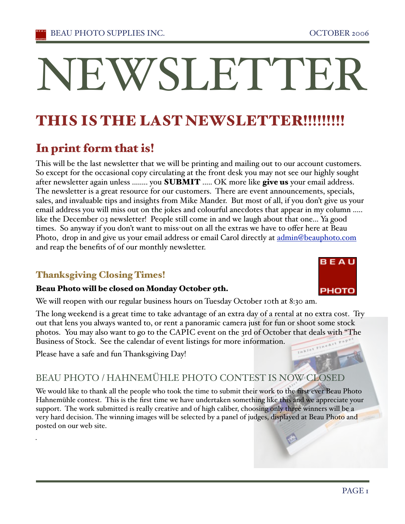# THIS IS THE LAST NEWSLETTER!!!!!!!!

# In print form that is!

This will be the last newsletter that we will be printing and mailing out to our account customers. So except for the occasional copy circulating at the front desk you may not see our highly sought after newsletter again unless ........ you **SUBMIT** ..... OK more like give us your email address. The newsletter is a great resource for our customers. There are event announcements, specials, sales, and invaluable tips and insights from Mike Mander. But most of all, if you don't give us your email address you will miss out on the jokes and colourful anecdotes that appear in my column ..... like the December 03 newsletter! People still come in and we laugh about that one... Ya good times. So anyway if you don't want to miss-out on all the extras we have to offer here at Beau Photo, drop in and give us your email address or email Carol directly at admin@beauphoto.com and reap the benefits of of our monthly newsletter.

# Thanksgiving Closing Times!

### Beau Photo will be closed on Monday October 9th.

We will reopen with our regular business hours on Tuesday October 10th at 8:30 am.

The long weekend is a great time to take advantage of an extra day of a rental at no extra cost. Try out that lens you always wanted to, or rent a panoramic camera just for fun or shoot some stock photos. You may also want to go to the CAPIC event on the 3rd of October that deals with "The Business of Stock. See the calendar of event listings for more information.

Please have a safe and fun Thanksgiving Day!

.

# BEAU PHOTO / HAHNEMÜHLE PHOTO CONTEST IS NOW CLOSED

We would like to thank all the people who took the time to submit their work to the first ever Beau Photo Hahnemühle contest. This is the first time we have undertaken something like this and we appreciate your support. The work submitted is really creative and of high caliber, choosing only three winners will be a very hard decision. The winning images will be selected by a panel of judges, displayed at Beau Photo and posted on our web site.





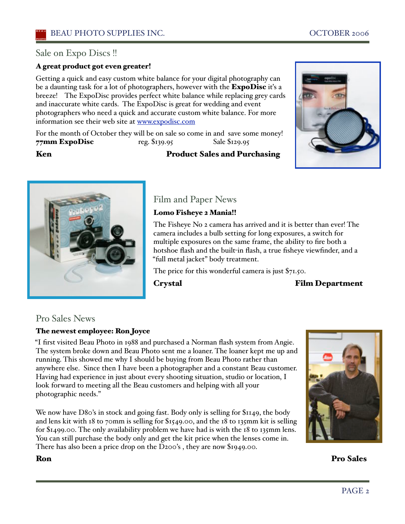### Sale on Expo Discs !!

#### A great product got even greater!

Getting a quick and easy custom white balance for your digital photography can be a daunting task for a lot of photographers, however with the **ExpoDisc** it's a breeze! The ExpoDisc provides perfect white balance while replacing grey cards and inaccurate white cards. The ExpoDisc is great for wedding and event photographers who need a quick and accurate custom white balance. For more information see their web site at www.expodisc.com

For the month of October they will be on sale so come in and save some money! 77mm ExpoDisc reg. \$139.95 Sale \$129.95

#### Ken Product Sales and Purchasing





Film and Paper News Lomo Fisheye 2 Mania!!

The Fisheye No 2 camera has arrived and it is better than ever! The camera includes a bulb setting for long exposures, a switch for multiple exposures on the same frame, the ability to fire both a hotshoe flash and the built-in flash, a true fisheye viewfinder, and a "full metal jacket" body treatment.

The price for this wonderful camera is just \$71.50.

Crystal Film Department

#### Pro Sales News

#### The newest employee: Ron Joyce

"I first visited Beau Photo in 1988 and purchased a Norman flash system from Angie. The system broke down and Beau Photo sent me a loaner. The loaner kept me up and running. This showed me why I should be buying from Beau Photo rather than anywhere else. Since then I have been a photographer and a constant Beau customer. Having had experience in just about every shooting situation, studio or location, I look forward to meeting all the Beau customers and helping with all your photographic needs."

We now have D80's in stock and going fast. Body only is selling for \$1149, the body and lens kit with 18 to 70mm is selling for \$1549.00, and the 18 to 135mm kit is selling for  $$1499.00$ . The only availability problem we have had is with the 18 to 135mm lens. You can still purchase the body only and get the kit price when the lenses come in. There has also been a price drop on the D200's , they are now \$1949.00.



Ron Pro Sales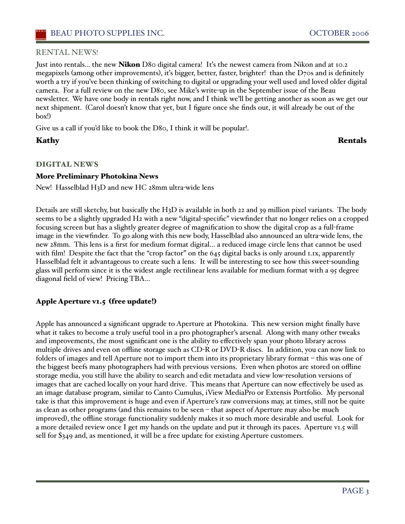#### RENTAL NEWS!

Just into rentals... the new **Nikon** D80 digital camera! It's the newest camera from Nikon and at 10.2 megapixels (among other improvements), iťs bigger, better, faster, brighter! than the D70s and is definitely worth a try if you've been thinking of switching to digital or upgrading your well used and loved older digital camera. For a full review on the new D80, see Mike's write-up in the September issue of the Beau newsletter. We have one body in rentals right now, and I think we'll be getting another as soon as we get our next shipment. (Carol doesn't know that yet, but I figure once she finds out, it will already be out of the box!)

Give us a call if you'd like to book the D80, I think it will be popular!.

### Kathy Rentals

#### DIGITAL NEWS

#### More Preliminary Photokina News

New! Hasselblad H3D and new HC 28mm ultra-wide lens

Details are still sketchy, but basically the H3D is available in both 22 and 39 million pixel variants. The body seems to be a slightly upgraded H2 with a new "digital-specific" viewfinder that no longer relies on a cropped focusing screen but has a slightly greater degree of magnification to show the digital crop as a full-frame image in the viewfinder. To go along with this new body, Hasselblad also announced an ultra-wide lens, the new 28mm. This lens is a first for medium format digital… a reduced image circle lens that cannot be used with film! Despite the fact that the "crop factor" on the 645 digital backs is only around 1.1x, apparently Hasselblad felt it advantageous to create such a lens. It will be interesting to see how this sweet-sounding glass will perform since it is the widest angle rectilinear lens available for medium format with a 95 degree diagonal field of view! Pricing TBA…

#### Apple Aperture v1.5 (free update!)

Apple has announced a significant upgrade to Aperture at Photokina. This new version might finally have what it takes to become a truly useful tool in a pro photographer's arsenal. Along with many other tweaks and improvements, the most significant one is the ability to effectively span your photo library across multiple drives and even on offline storage such as CD-R or DVD-R discs. In addition, you can now link to folders of images and tell Aperture not to import them into its proprietary library format – this was one of the biggest beefs many photographers had with previous versions. Even when photos are stored on offline storage media, you still have the ability to search and edit metadata and view low-resolution versions of images that are cached locally on your hard drive. This means that Aperture can now effectively be used as an image database program, similar to Canto Cumulus, iView MediaPro or Extensis Portfolio. My personal take is that this improvement is huge and even if Aperture's raw conversions may, at times, still not be quite as clean as other programs (and this remains to be seen – that aspect of Aperture may also be much improved), the offline storage functionality suddenly makes it so much more desirable and useful. Look for a more detailed review once I get my hands on the update and put it through its paces. Aperture v1.5 will sell for \$349 and, as mentioned, it will be a free update for existing Aperture customers.